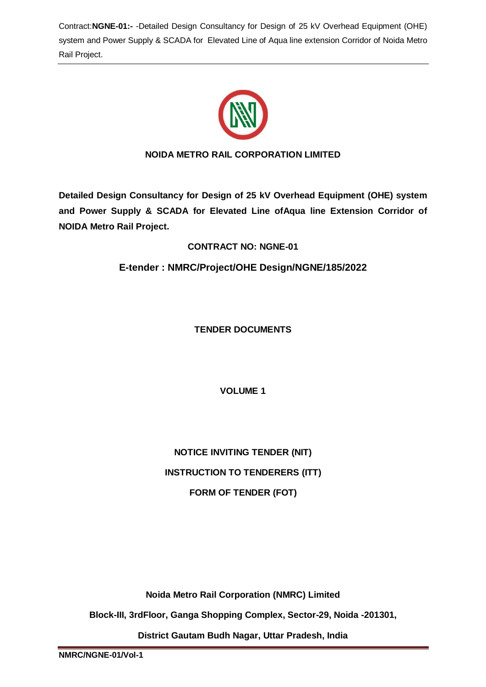

# **NOIDA METRO RAIL CORPORATION LIMITED**

**Detailed Design Consultancy for Design of 25 kV Overhead Equipment (OHE) system and Power Supply & SCADA for Elevated Line ofAqua line Extension Corridor of NOIDA Metro Rail Project.**

# **CONTRACT NO: NGNE-01**

**E-tender : NMRC/Project/OHE Design/NGNE/185/2022**

**TENDER DOCUMENTS**

**VOLUME 1** 

**NOTICE INVITING TENDER (NIT) INSTRUCTION TO TENDERERS (ITT) FORM OF TENDER (FOT)**

**Noida Metro Rail Corporation (NMRC) Limited**

**Block-III, 3rdFloor, Ganga Shopping Complex, Sector-29, Noida -201301,**

**District Gautam Budh Nagar, Uttar Pradesh, India**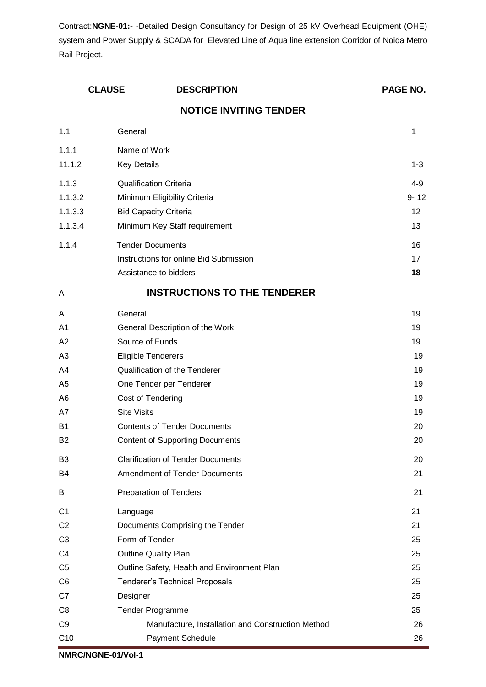|                | <b>CLAUSE</b><br><b>DESCRIPTION</b>               |  | PAGE NO. |
|----------------|---------------------------------------------------|--|----------|
|                | <b>NOTICE INVITING TENDER</b>                     |  |          |
| 1.1            | General                                           |  | 1        |
| 1.1.1          | Name of Work                                      |  |          |
| 11.1.2         | <b>Key Details</b>                                |  | $1 - 3$  |
| 1.1.3          | <b>Qualification Criteria</b>                     |  | $4 - 9$  |
| 1.1.3.2        | Minimum Eligibility Criteria                      |  | $9 - 12$ |
| 1.1.3.3        | <b>Bid Capacity Criteria</b>                      |  | 12       |
| 1.1.3.4        | Minimum Key Staff requirement                     |  | 13       |
| 1.1.4          | <b>Tender Documents</b>                           |  | 16       |
|                | Instructions for online Bid Submission            |  | 17       |
|                | Assistance to bidders                             |  | 18       |
| A              | <b>INSTRUCTIONS TO THE TENDERER</b>               |  |          |
| A              | General                                           |  | 19       |
| A1             | General Description of the Work                   |  | 19       |
| A <sub>2</sub> | Source of Funds                                   |  | 19       |
| A <sub>3</sub> | <b>Eligible Tenderers</b>                         |  | 19       |
| A4             | Qualification of the Tenderer                     |  | 19       |
| A <sub>5</sub> | One Tender per Tenderer                           |  | 19       |
| A <sub>6</sub> | Cost of Tendering                                 |  | 19       |
| A7             | <b>Site Visits</b>                                |  | 19       |
| B <sub>1</sub> | <b>Contents of Tender Documents</b>               |  | 20       |
| <b>B2</b>      | <b>Content of Supporting Documents</b>            |  | 20       |
| B <sub>3</sub> | <b>Clarification of Tender Documents</b>          |  | 20       |
| B <sub>4</sub> | Amendment of Tender Documents                     |  | 21       |
| B              | <b>Preparation of Tenders</b>                     |  | 21       |
| C <sub>1</sub> | Language                                          |  | 21       |
| C <sub>2</sub> | Documents Comprising the Tender                   |  | 21       |
| C <sub>3</sub> | Form of Tender                                    |  | 25       |
| C <sub>4</sub> | <b>Outline Quality Plan</b>                       |  | 25       |
| C <sub>5</sub> | Outline Safety, Health and Environment Plan       |  | 25       |
| C <sub>6</sub> | <b>Tenderer's Technical Proposals</b>             |  | 25       |
| C7             | Designer                                          |  | 25       |
| C <sub>8</sub> | Tender Programme                                  |  | 25       |
| C <sub>9</sub> | Manufacture, Installation and Construction Method |  | 26       |
| C10            | Payment Schedule                                  |  | 26       |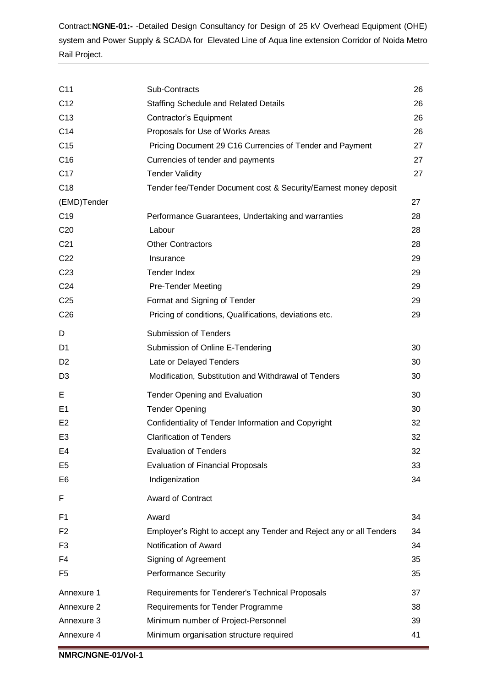| C <sub>11</sub> | Sub-Contracts                                                       | 26 |
|-----------------|---------------------------------------------------------------------|----|
| C <sub>12</sub> | <b>Staffing Schedule and Related Details</b>                        | 26 |
| C <sub>13</sub> | Contractor's Equipment                                              | 26 |
| C <sub>14</sub> | Proposals for Use of Works Areas                                    | 26 |
| C <sub>15</sub> | Pricing Document 29 C16 Currencies of Tender and Payment            | 27 |
| C <sub>16</sub> | Currencies of tender and payments                                   | 27 |
| C <sub>17</sub> | <b>Tender Validity</b>                                              | 27 |
| C <sub>18</sub> | Tender fee/Tender Document cost & Security/Earnest money deposit    |    |
| (EMD)Tender     |                                                                     | 27 |
| C <sub>19</sub> | Performance Guarantees, Undertaking and warranties                  | 28 |
| C <sub>20</sub> | Labour                                                              | 28 |
| C <sub>21</sub> | <b>Other Contractors</b>                                            | 28 |
| C <sub>22</sub> | Insurance                                                           | 29 |
| C <sub>23</sub> | <b>Tender Index</b>                                                 | 29 |
| C <sub>24</sub> | <b>Pre-Tender Meeting</b>                                           | 29 |
| C <sub>25</sub> | Format and Signing of Tender                                        | 29 |
| C <sub>26</sub> | Pricing of conditions, Qualifications, deviations etc.              | 29 |
| D               | <b>Submission of Tenders</b>                                        |    |
| D1              | Submission of Online E-Tendering                                    | 30 |
| D <sub>2</sub>  | Late or Delayed Tenders                                             | 30 |
| D <sub>3</sub>  | Modification, Substitution and Withdrawal of Tenders                | 30 |
| E               | <b>Tender Opening and Evaluation</b>                                | 30 |
| E <sub>1</sub>  | <b>Tender Opening</b>                                               | 30 |
| E <sub>2</sub>  | Confidentiality of Tender Information and Copyright                 | 32 |
| E <sub>3</sub>  | <b>Clarification of Tenders</b>                                     | 32 |
| E4              | <b>Evaluation of Tenders</b>                                        | 32 |
| E <sub>5</sub>  | <b>Evaluation of Financial Proposals</b>                            | 33 |
| E6              | Indigenization                                                      | 34 |
| F               | <b>Award of Contract</b>                                            |    |
| F1              | Award                                                               | 34 |
| F <sub>2</sub>  | Employer's Right to accept any Tender and Reject any or all Tenders | 34 |
| F <sub>3</sub>  | Notification of Award                                               | 34 |
| F4              | Signing of Agreement                                                | 35 |
| F5              | <b>Performance Security</b>                                         | 35 |
| Annexure 1      | Requirements for Tenderer's Technical Proposals                     | 37 |
| Annexure 2      | Requirements for Tender Programme                                   | 38 |
| Annexure 3      | Minimum number of Project-Personnel                                 | 39 |
| Annexure 4      | Minimum organisation structure required                             | 41 |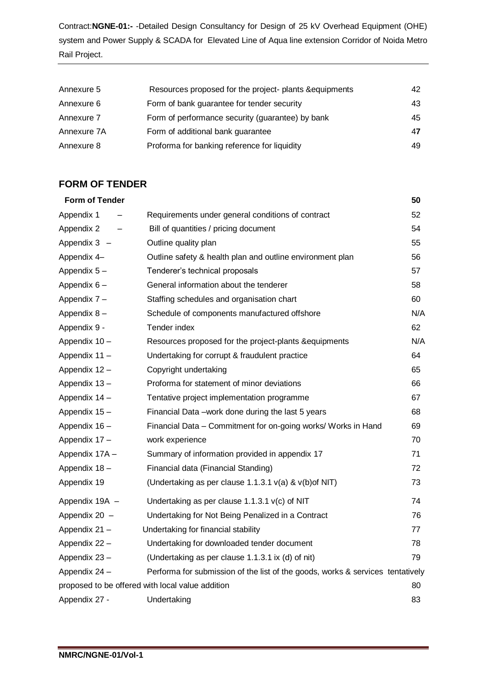| Annexure 5  | Resources proposed for the project- plants & equipments | 42  |
|-------------|---------------------------------------------------------|-----|
| Annexure 6  | Form of bank guarantee for tender security              | 43. |
| Annexure 7  | Form of performance security (guarantee) by bank        | 45  |
| Annexure 7A | Form of additional bank guarantee                       | 47  |
| Annexure 8  | Proforma for banking reference for liquidity            | 49  |

# **FORM OF TENDER**

| <b>Form of Tender</b> |                                                                                | 50  |
|-----------------------|--------------------------------------------------------------------------------|-----|
| Appendix 1            | Requirements under general conditions of contract                              | 52  |
| Appendix 2            | Bill of quantities / pricing document                                          | 54  |
| Appendix 3 -          | Outline quality plan                                                           | 55  |
| Appendix 4-           | Outline safety & health plan and outline environment plan                      | 56  |
| Appendix 5-           | Tenderer's technical proposals                                                 | 57  |
| Appendix 6-           | General information about the tenderer                                         | 58  |
| Appendix 7 -          | Staffing schedules and organisation chart                                      | 60  |
| Appendix 8-           | Schedule of components manufactured offshore                                   | N/A |
| Appendix 9 -          | Tender index                                                                   | 62  |
| Appendix 10-          | Resources proposed for the project-plants & equipments                         | N/A |
| Appendix 11 -         | Undertaking for corrupt & fraudulent practice                                  | 64  |
| Appendix 12 -         | Copyright undertaking                                                          | 65  |
| Appendix 13-          | Proforma for statement of minor deviations                                     | 66  |
| Appendix 14 -         | Tentative project implementation programme                                     | 67  |
| Appendix 15 -         | Financial Data - work done during the last 5 years                             | 68  |
| Appendix 16 -         | Financial Data - Commitment for on-going works/ Works in Hand                  | 69  |
| Appendix 17 -         | work experience                                                                | 70  |
| Appendix 17A -        | Summary of information provided in appendix 17                                 | 71  |
| Appendix 18-          | Financial data (Financial Standing)                                            | 72  |
| Appendix 19           | (Undertaking as per clause 1.1.3.1 $v(a)$ & $v(b)$ of NIT)                     | 73  |
| Appendix 19A -        | Undertaking as per clause 1.1.3.1 $v(c)$ of NIT                                | 74  |
| Appendix 20 -         | Undertaking for Not Being Penalized in a Contract                              | 76  |
| Appendix 21 -         | Undertaking for financial stability                                            | 77  |
| Appendix 22 -         | Undertaking for downloaded tender document                                     | 78  |
| Appendix 23-          | (Undertaking as per clause 1.1.3.1 ix (d) of nit)                              | 79  |
| Appendix 24 -         | Performa for submission of the list of the goods, works & services tentatively |     |
|                       | proposed to be offered with local value addition                               | 80  |
| Appendix 27 -         | Undertaking                                                                    | 83  |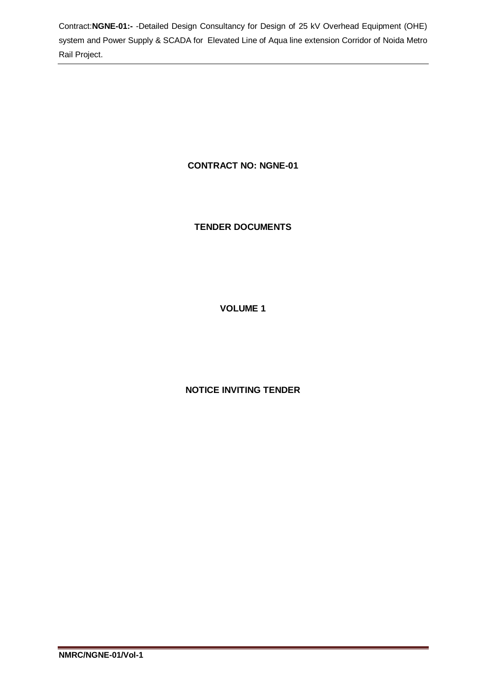# **CONTRACT NO: NGNE-01**

# **TENDER DOCUMENTS**

# **VOLUME 1**

# **NOTICE INVITING TENDER**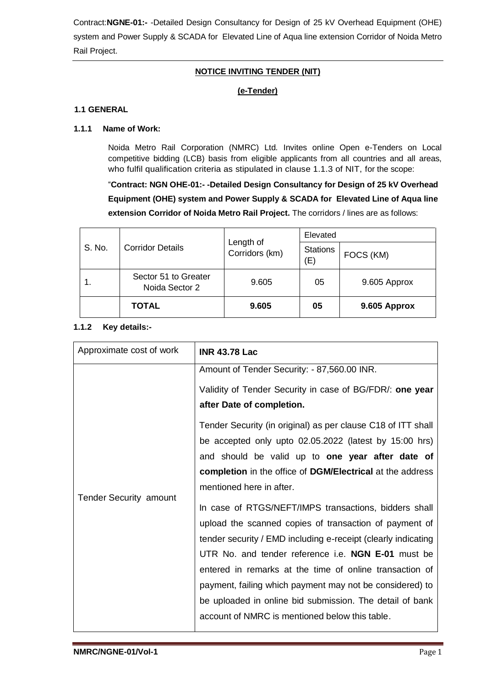## **NOTICE INVITING TENDER (NIT)**

## **(e-Tender)**

#### **1.1 GENERAL**

#### **1.1.1 Name of Work:**

Noida Metro Rail Corporation (NMRC) Ltd. Invites online Open e-Tenders on Local competitive bidding (LCB) basis from eligible applicants from all countries and all areas, who fulfil qualification criteria as stipulated in clause 1.1.3 of NIT, for the scope:

"**Contract: NGN OHE-01:- -Detailed Design Consultancy for Design of 25 kV Overhead Equipment (OHE) system and Power Supply & SCADA for Elevated Line of Aqua line extension Corridor of Noida Metro Rail Project.** The corridors / lines are as follows:

|        | <b>Corridor Details</b>                | Length of<br>Corridors (km) | Elevated               |              |
|--------|----------------------------------------|-----------------------------|------------------------|--------------|
| S. No. |                                        |                             | <b>Stations</b><br>(E) | FOCS (KM)    |
|        | Sector 51 to Greater<br>Noida Sector 2 | 9.605                       | 05                     | 9.605 Approx |
|        | <b>TOTAL</b>                           | 9.605                       | 05                     | 9.605 Approx |

#### **1.1.2 Key details:-**

| Approximate cost of work      | <b>INR 43.78 Lac</b>                                                                                                                                                                                                                                                                                                                                                                                                                                                        |
|-------------------------------|-----------------------------------------------------------------------------------------------------------------------------------------------------------------------------------------------------------------------------------------------------------------------------------------------------------------------------------------------------------------------------------------------------------------------------------------------------------------------------|
|                               | Amount of Tender Security: - 87,560.00 INR.<br>Validity of Tender Security in case of BG/FDR/: one year<br>after Date of completion.<br>Tender Security (in original) as per clause C18 of ITT shall                                                                                                                                                                                                                                                                        |
| <b>Tender Security amount</b> | be accepted only upto 02.05.2022 (latest by 15:00 hrs)<br>and should be valid up to one year after date of<br>completion in the office of DGM/Electrical at the address<br>mentioned here in after.                                                                                                                                                                                                                                                                         |
|                               | In case of RTGS/NEFT/IMPS transactions, bidders shall<br>upload the scanned copies of transaction of payment of<br>tender security / EMD including e-receipt (clearly indicating<br>UTR No. and tender reference i.e. NGN E-01 must be<br>entered in remarks at the time of online transaction of<br>payment, failing which payment may not be considered) to<br>be uploaded in online bid submission. The detail of bank<br>account of NMRC is mentioned below this table. |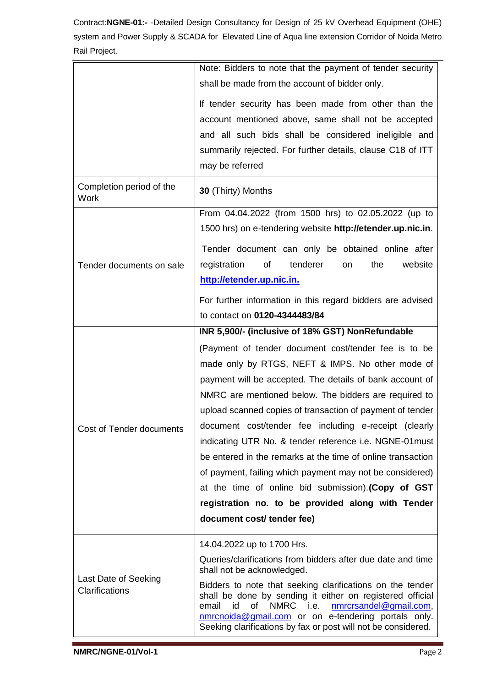|                                  | Note: Bidders to note that the payment of tender security<br>shall be made from the account of bidder only.                                                                                                                                   |  |  |
|----------------------------------|-----------------------------------------------------------------------------------------------------------------------------------------------------------------------------------------------------------------------------------------------|--|--|
|                                  |                                                                                                                                                                                                                                               |  |  |
|                                  | If tender security has been made from other than the                                                                                                                                                                                          |  |  |
|                                  | account mentioned above, same shall not be accepted                                                                                                                                                                                           |  |  |
|                                  | and all such bids shall be considered ineligible and                                                                                                                                                                                          |  |  |
|                                  | summarily rejected. For further details, clause C18 of ITT                                                                                                                                                                                    |  |  |
|                                  | may be referred                                                                                                                                                                                                                               |  |  |
|                                  |                                                                                                                                                                                                                                               |  |  |
| Completion period of the<br>Work | 30 (Thirty) Months                                                                                                                                                                                                                            |  |  |
|                                  | From 04.04.2022 (from 1500 hrs) to 02.05.2022 (up to                                                                                                                                                                                          |  |  |
|                                  | 1500 hrs) on e-tendering website http://etender.up.nic.in.                                                                                                                                                                                    |  |  |
|                                  | Tender document can only be obtained online after                                                                                                                                                                                             |  |  |
| Tender documents on sale         | of<br>tenderer<br>registration<br>the<br>website<br>on                                                                                                                                                                                        |  |  |
|                                  | http://etender.up.nic.in.                                                                                                                                                                                                                     |  |  |
|                                  | For further information in this regard bidders are advised                                                                                                                                                                                    |  |  |
|                                  | to contact on 0120-4344483/84                                                                                                                                                                                                                 |  |  |
|                                  |                                                                                                                                                                                                                                               |  |  |
|                                  | INR 5,900/- (inclusive of 18% GST) NonRefundable                                                                                                                                                                                              |  |  |
|                                  | (Payment of tender document cost/tender fee is to be                                                                                                                                                                                          |  |  |
|                                  | made only by RTGS, NEFT & IMPS. No other mode of                                                                                                                                                                                              |  |  |
|                                  | payment will be accepted. The details of bank account of                                                                                                                                                                                      |  |  |
|                                  | NMRC are mentioned below. The bidders are required to                                                                                                                                                                                         |  |  |
|                                  | upload scanned copies of transaction of payment of tender                                                                                                                                                                                     |  |  |
| Cost of Tender documents         | document cost/tender fee including e-receipt (clearly                                                                                                                                                                                         |  |  |
|                                  | indicating UTR No. & tender reference i.e. NGNE-01must                                                                                                                                                                                        |  |  |
|                                  | be entered in the remarks at the time of online transaction                                                                                                                                                                                   |  |  |
|                                  | of payment, failing which payment may not be considered)                                                                                                                                                                                      |  |  |
|                                  | at the time of online bid submission). (Copy of GST                                                                                                                                                                                           |  |  |
|                                  | registration no. to be provided along with Tender                                                                                                                                                                                             |  |  |
|                                  |                                                                                                                                                                                                                                               |  |  |
|                                  | document cost/ tender fee)                                                                                                                                                                                                                    |  |  |
|                                  | 14.04.2022 up to 1700 Hrs.                                                                                                                                                                                                                    |  |  |
|                                  | Queries/clarifications from bidders after due date and time<br>shall not be acknowledged.                                                                                                                                                     |  |  |
| Last Date of Seeking             | Bidders to note that seeking clarifications on the tender                                                                                                                                                                                     |  |  |
| Clarifications                   | shall be done by sending it either on registered official<br>of<br>NMRC i.e.<br>nmrcrsandel@gmail.com,<br>email<br>id<br>nmrcnoida@gmail.com or on e-tendering portals only.<br>Seeking clarifications by fax or post will not be considered. |  |  |
|                                  |                                                                                                                                                                                                                                               |  |  |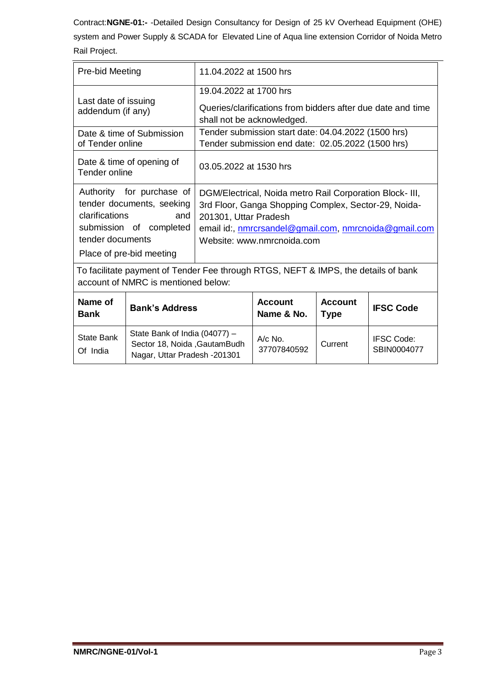| Pre-bid Meeting                                                                                                           |                                                                                                                      | 11.04.2022 at 1500 hrs                                                                                                                                                                                                           |                               |                  |                                  |
|---------------------------------------------------------------------------------------------------------------------------|----------------------------------------------------------------------------------------------------------------------|----------------------------------------------------------------------------------------------------------------------------------------------------------------------------------------------------------------------------------|-------------------------------|------------------|----------------------------------|
| Last date of issuing<br>addendum (if any)                                                                                 |                                                                                                                      | 19.04.2022 at 1700 hrs<br>Queries/clarifications from bidders after due date and time<br>shall not be acknowledged.                                                                                                              |                               |                  |                                  |
| Date & time of Submission<br>of Tender online                                                                             |                                                                                                                      | Tender submission start date: 04.04.2022 (1500 hrs)<br>Tender submission end date: 02.05.2022 (1500 hrs)                                                                                                                         |                               |                  |                                  |
| Date & time of opening of<br>Tender online                                                                                |                                                                                                                      | 03.05.2022 at 1530 hrs                                                                                                                                                                                                           |                               |                  |                                  |
| clarifications<br>tender documents                                                                                        | Authority for purchase of<br>tender documents, seeking<br>and<br>submission of completed<br>Place of pre-bid meeting | DGM/Electrical, Noida metro Rail Corporation Block- III,<br>3rd Floor, Ganga Shopping Complex, Sector-29, Noida-<br>201301, Uttar Pradesh<br>email id:, nmrcrsandel@gmail.com, nmrcnoida@gmail.com<br>Website: www.nmrcnoida.com |                               |                  |                                  |
| To facilitate payment of Tender Fee through RTGS, NEFT & IMPS, the details of bank<br>account of NMRC is mentioned below: |                                                                                                                      |                                                                                                                                                                                                                                  |                               |                  |                                  |
| Name of<br><b>Bank's Address</b><br><b>Bank</b>                                                                           |                                                                                                                      | <b>Account</b><br>Name & No.                                                                                                                                                                                                     | <b>Account</b><br><b>Type</b> | <b>IFSC Code</b> |                                  |
| <b>State Bank</b><br>Of India                                                                                             | State Bank of India (04077) -<br>Sector 18, Noida , Gautam Budh<br>Nagar, Uttar Pradesh -201301                      |                                                                                                                                                                                                                                  | $A/c$ No.<br>37707840592      | Current          | <b>IFSC Code:</b><br>SBIN0004077 |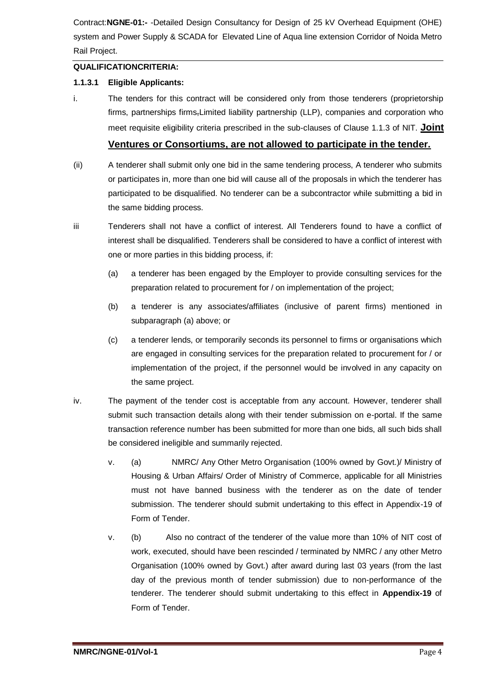#### **QUALIFICATIONCRITERIA:**

#### **1.1.3.1 Eligible Applicants:**

i. The tenders for this contract will be considered only from those tenderers (proprietorship firms, partnerships firms-Limited liability partnership (LLP), companies and corporation who meet requisite eligibility criteria prescribed in the sub-clauses of Clause 1.1.3 of NIT. **Joint** 

# **Ventures or Consortiums, are not allowed to participate in the tender.**

- (ii) A tenderer shall submit only one bid in the same tendering process, A tenderer who submits or participates in, more than one bid will cause all of the proposals in which the tenderer has participated to be disqualified. No tenderer can be a subcontractor while submitting a bid in the same bidding process.
- iii Tenderers shall not have a conflict of interest. All Tenderers found to have a conflict of interest shall be disqualified. Tenderers shall be considered to have a conflict of interest with one or more parties in this bidding process, if:
	- (a) a tenderer has been engaged by the Employer to provide consulting services for the preparation related to procurement for / on implementation of the project;
	- (b) a tenderer is any associates/affiliates (inclusive of parent firms) mentioned in subparagraph (a) above; or
	- (c) a tenderer lends, or temporarily seconds its personnel to firms or organisations which are engaged in consulting services for the preparation related to procurement for / or implementation of the project, if the personnel would be involved in any capacity on the same project.
- iv. The payment of the tender cost is acceptable from any account. However, tenderer shall submit such transaction details along with their tender submission on e-portal. If the same transaction reference number has been submitted for more than one bids, all such bids shall be considered ineligible and summarily rejected.
	- v. (a) NMRC/ Any Other Metro Organisation (100% owned by Govt.)/ Ministry of Housing & Urban Affairs/ Order of Ministry of Commerce, applicable for all Ministries must not have banned business with the tenderer as on the date of tender submission. The tenderer should submit undertaking to this effect in Appendix-19 of Form of Tender.
	- v. (b) Also no contract of the tenderer of the value more than 10% of NIT cost of work, executed, should have been rescinded / terminated by NMRC / any other Metro Organisation (100% owned by Govt.) after award during last 03 years (from the last day of the previous month of tender submission) due to non-performance of the tenderer. The tenderer should submit undertaking to this effect in **Appendix-19** of Form of Tender.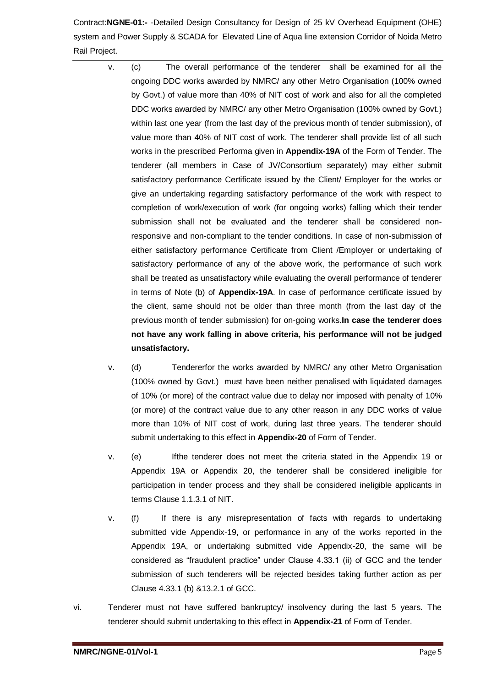- v. (c) The overall performance of the tenderer shall be examined for all the ongoing DDC works awarded by NMRC/ any other Metro Organisation (100% owned by Govt.) of value more than 40% of NIT cost of work and also for all the completed DDC works awarded by NMRC/ any other Metro Organisation (100% owned by Govt.) within last one year (from the last day of the previous month of tender submission), of value more than 40% of NIT cost of work. The tenderer shall provide list of all such works in the prescribed Performa given in **Appendix-19A** of the Form of Tender. The tenderer (all members in Case of JV/Consortium separately) may either submit satisfactory performance Certificate issued by the Client/ Employer for the works or give an undertaking regarding satisfactory performance of the work with respect to completion of work/execution of work (for ongoing works) falling which their tender submission shall not be evaluated and the tenderer shall be considered nonresponsive and non-compliant to the tender conditions. In case of non-submission of either satisfactory performance Certificate from Client /Employer or undertaking of satisfactory performance of any of the above work, the performance of such work shall be treated as unsatisfactory while evaluating the overall performance of tenderer in terms of Note (b) of **Appendix-19A**. In case of performance certificate issued by the client, same should not be older than three month (from the last day of the previous month of tender submission) for on-going works.**In case the tenderer does not have any work falling in above criteria, his performance will not be judged unsatisfactory.**
	- v. (d) Tendererfor the works awarded by NMRC/ any other Metro Organisation (100% owned by Govt.) must have been neither penalised with liquidated damages of 10% (or more) of the contract value due to delay nor imposed with penalty of 10% (or more) of the contract value due to any other reason in any DDC works of value more than 10% of NIT cost of work, during last three years. The tenderer should submit undertaking to this effect in **Appendix-20** of Form of Tender.
	- v. (e) Ifthe tenderer does not meet the criteria stated in the Appendix 19 or Appendix 19A or Appendix 20, the tenderer shall be considered ineligible for participation in tender process and they shall be considered ineligible applicants in terms Clause 1.1.3.1 of NIT.
	- v. (f) If there is any misrepresentation of facts with regards to undertaking submitted vide Appendix-19, or performance in any of the works reported in the Appendix 19A, or undertaking submitted vide Appendix-20, the same will be considered as "fraudulent practice" under Clause 4.33.1 (ii) of GCC and the tender submission of such tenderers will be rejected besides taking further action as per Clause 4.33.1 (b) &13.2.1 of GCC.
- vi. Tenderer must not have suffered bankruptcy/ insolvency during the last 5 years. The tenderer should submit undertaking to this effect in **Appendix-21** of Form of Tender.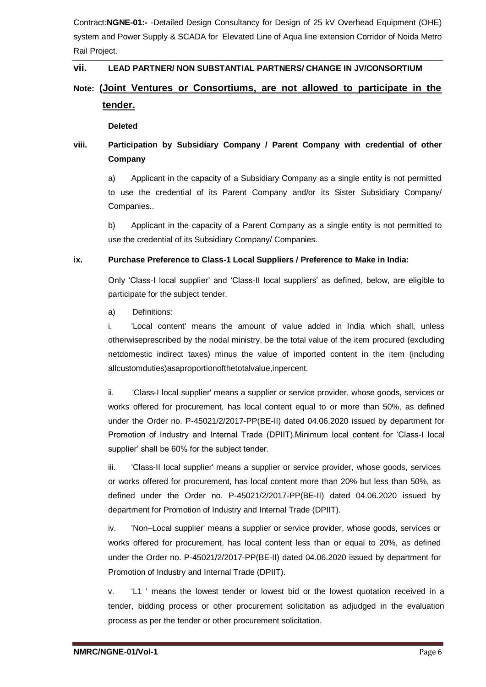## **vii. LEAD PARTNER/ NON SUBSTANTIAL PARTNERS/ CHANGE IN JV/CONSORTIUM**

# **Note: (Joint Ventures or Consortiums, are not allowed to participate in the tender.**

#### **Deleted**

# **viii. Participation by Subsidiary Company / Parent Company with credential of other Company**

a) Applicant in the capacity of a Subsidiary Company as a single entity is not permitted to use the credential of its Parent Company and/or its Sister Subsidiary Company/ Companies..

b) Applicant in the capacity of a Parent Company as a single entity is not permitted to use the credential of its Subsidiary Company/ Companies.

#### **ix. Purchase Preference to Class-1 Local Suppliers / Preference to Make in India:**

Only 'Class-I local supplier' and 'Class-II local suppliers' as defined, below, are eligible to participate for the subject tender.

a) Definitions:

i. 'Local content' means the amount of value added in India which shall, unless otherwiseprescribed by the nodal ministry, be the total value of the item procured (excluding netdomestic indirect taxes) minus the value of imported content in the item (including allcustomduties)asaproportionofthetotalvalue,inpercent.

ii. 'Class-I local supplier' means a supplier or service provider, whose goods, services or works offered for procurement, has local content equal to or more than 50%, as defined under the Order no. P-45021/2/2017-PP(BE-II) dated 04.06.2020 issued by department for Promotion of Industry and Internal Trade (DPIIT).Minimum local content for 'Class-I local supplier' shall be 60% for the subject tender.

iii. 'Class-II local supplier' means a supplier or service provider, whose goods, services or works offered for procurement, has local content more than 20% but less than 50%, as defined under the Order no. P-45021/2/2017-PP(BE-II) dated 04.06.2020 issued by department for Promotion of Industry and Internal Trade (DPIIT).

iv. 'Non–Local supplier' means a supplier or service provider, whose goods, services or works offered for procurement, has local content less than or equal to 20%, as defined under the Order no. P-45021/2/2017-PP(BE-II) dated 04.06.2020 issued by department for Promotion of Industry and Internal Trade (DPIIT).

v. 'L1 ' means the lowest tender or lowest bid or the lowest quotation received in a tender, bidding process or other procurement solicitation as adjudged in the evaluation process as per the tender or other procurement solicitation.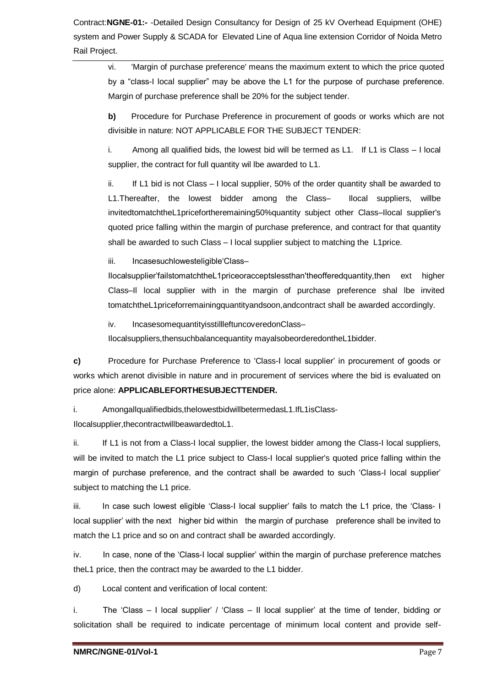vi. 'Margin of purchase preference' means the maximum extent to which the price quoted by a "class-I local supplier" may be above the L1 for the purpose of purchase preference. Margin of purchase preference shall be 20% for the subject tender.

**b)** Procedure for Purchase Preference in procurement of goods or works which are not divisible in nature: NOT APPLICABLE FOR THE SUBJECT TENDER:

i. Among all qualified bids, the lowest bid will be termed as L1. If L1 is Class – I local supplier, the contract for full quantity wil lbe awarded to L1.

ii. If L1 bid is not Class – I local supplier, 50% of the order quantity shall be awarded to L1.Thereafter, the lowest bidder among the Class– Ilocal suppliers, willbe invitedtomatchtheL1pricefortheremaining50%quantity subject other Class–Ilocal supplier's quoted price falling within the margin of purchase preference, and contract for that quantity shall be awarded to such Class – I local supplier subject to matching the L1price.

iii. Incasesuchlowesteligible'Class-

Ilocalsupplier'failstomatchtheL1priceoracceptslessthan'theofferedquantity,then ext higher Class–Il local supplier with in the margin of purchase preference shal lbe invited tomatchtheL1priceforremainingquantityandsoon,andcontract shall be awarded accordingly.

iv. IncasesomequantityisstillleftuncoveredonClass–

Ilocalsuppliers,thensuchbalancequantity mayalsobeorderedontheL1bidder.

**c)** Procedure for Purchase Preference to 'Class-I local supplier' in procurement of goods or works which arenot divisible in nature and in procurement of services where the bid is evaluated on price alone: **APPLICABLEFORTHESUBJECTTENDER.**

i. Amongallqualifiedbids,thelowestbidwillbetermedasL1.IfL1isClass-

Ilocalsupplier,thecontractwillbeawardedtoL1.

ii. If L1 is not from a Class-I local supplier, the lowest bidder among the Class-I local suppliers, will be invited to match the L1 price subject to Class-I local supplier's quoted price falling within the margin of purchase preference, and the contract shall be awarded to such 'Class-I local supplier' subject to matching the L1 price.

iii. In case such lowest eligible 'Class-I local supplier' fails to match the L1 price, the 'Class- I local supplier' with the next higher bid within the margin of purchase preference shall be invited to match the L1 price and so on and contract shall be awarded accordingly.

iv. In case, none of the 'Class-I local supplier' within the margin of purchase preference matches theL1 price, then the contract may be awarded to the L1 bidder.

d) Local content and verification of local content:

i. The 'Class – I local supplier' / 'Class – II local supplier' at the time of tender, bidding or solicitation shall be required to indicate percentage of minimum local content and provide self-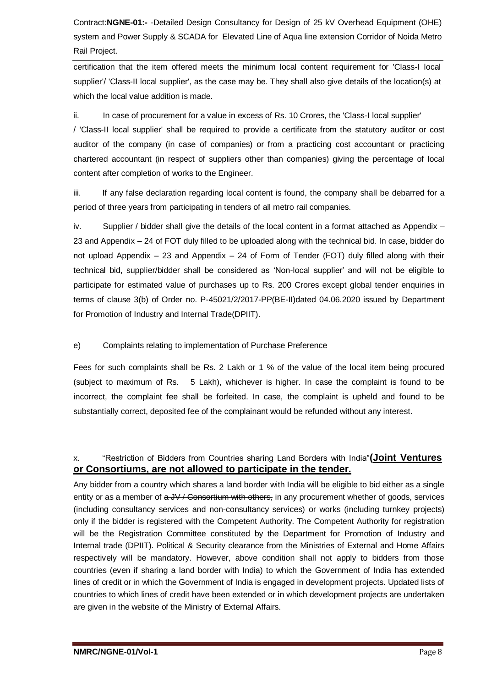certification that the item offered meets the minimum local content requirement for 'Class-I local supplier'/ 'Class-II local supplier', as the case may be. They shall also give details of the location(s) at which the local value addition is made.

ii. In case of procurement for a value in excess of Rs. 10 Crores, the 'Class-I local supplier'

/ 'Class-II local supplier' shall be required to provide a certificate from the statutory auditor or cost auditor of the company (in case of companies) or from a practicing cost accountant or practicing chartered accountant (in respect of suppliers other than companies) giving the percentage of local content after completion of works to the Engineer.

iii. If any false declaration regarding local content is found, the company shall be debarred for a period of three years from participating in tenders of all metro rail companies.

iv. Supplier / bidder shall give the details of the local content in a format attached as Appendix – 23 and Appendix – 24 of FOT duly filled to be uploaded along with the technical bid. In case, bidder do not upload Appendix – 23 and Appendix – 24 of Form of Tender (FOT) duly filled along with their technical bid, supplier/bidder shall be considered as 'Non-local supplier' and will not be eligible to participate for estimated value of purchases up to Rs. 200 Crores except global tender enquiries in terms of clause 3(b) of Order no. P-45021/2/2017-PP(BE-II)dated 04.06.2020 issued by Department for Promotion of Industry and Internal Trade(DPIIT).

## e) Complaints relating to implementation of Purchase Preference

Fees for such complaints shall be Rs. 2 Lakh or 1 % of the value of the local item being procured (subject to maximum of Rs. 5 Lakh), whichever is higher. In case the complaint is found to be incorrect, the complaint fee shall be forfeited. In case, the complaint is upheld and found to be substantially correct, deposited fee of the complainant would be refunded without any interest.

## x. "Restriction of Bidders from Countries sharing Land Borders with India"**(Joint Ventures or Consortiums, are not allowed to participate in the tender.**

Any bidder from a country which shares a land border with India will be eligible to bid either as a single entity or as a member of  $a$  JV / Consortium with others, in any procurement whether of goods, services (including consultancy services and non-consultancy services) or works (including turnkey projects) only if the bidder is registered with the Competent Authority. The Competent Authority for registration will be the Registration Committee constituted by the Department for Promotion of Industry and Internal trade (DPIIT). Political & Security clearance from the Ministries of External and Home Affairs respectively will be mandatory. However, above condition shall not apply to bidders from those countries (even if sharing a land border with India) to which the Government of India has extended lines of credit or in which the Government of India is engaged in development projects. Updated lists of countries to which lines of credit have been extended or in which development projects are undertaken are given in the website of the Ministry of External Affairs.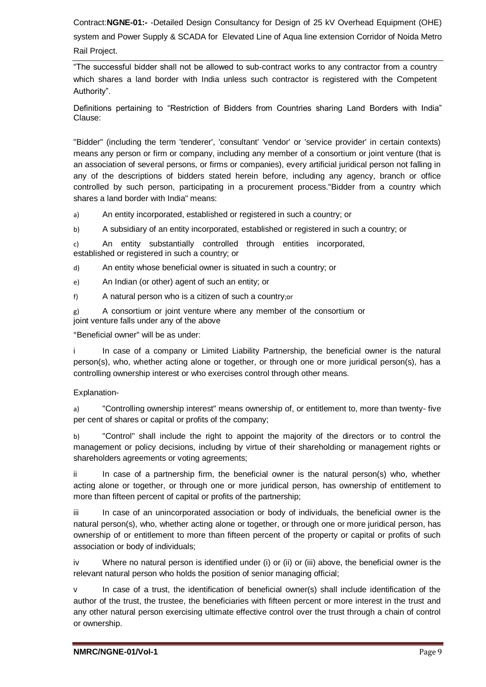"The successful bidder shall not be allowed to sub-contract works to any contractor from a country which shares a land border with India unless such contractor is registered with the Competent Authority".

Definitions pertaining to "Restriction of Bidders from Countries sharing Land Borders with India" Clause:

"Bidder" (including the term 'tenderer', 'consultant' 'vendor' or 'service provider' in certain contexts) means any person or firm or company, including any member of a consortium or joint venture (that is an association of several persons, or firms or companies), every artificial juridical person not falling in any of the descriptions of bidders stated herein before, including any agency, branch or office controlled by such person, participating in a procurement process."Bidder from a country which shares a land border with India" means:

a) An entity incorporated, established or registered in such a country; or

b) A subsidiary of an entity incorporated, established or registered in such a country; or

c) An entity substantially controlled through entities incorporated, established or registered in such a country; or

d) An entity whose beneficial owner is situated in such a country; or

e) An Indian (or other) agent of such an entity; or

f) A natural person who is a citizen of such a country;or

g) A consortium or joint venture where any member of the consortium or joint venture falls under any of the above

"Beneficial owner" will be as under:

i In case of a company or Limited Liability Partnership, the beneficial owner is the natural person(s), who, whether acting alone or together, or through one or more juridical person(s), has a controlling ownership interest or who exercises control through other means.

#### Explanation-

a) "Controlling ownership interest" means ownership of, or entitlement to, more than twenty- five per cent of shares or capital or profits of the company;

b) "Control" shall include the right to appoint the majority of the directors or to control the management or policy decisions, including by virtue of their shareholding or management rights or shareholders agreements or voting agreements;

ii In case of a partnership firm, the beneficial owner is the natural person(s) who, whether acting alone or together, or through one or more juridical person, has ownership of entitlement to more than fifteen percent of capital or profits of the partnership;

iii In case of an unincorporated association or body of individuals, the beneficial owner is the natural person(s), who, whether acting alone or together, or through one or more juridical person, has ownership of or entitlement to more than fifteen percent of the property or capital or profits of such association or body of individuals;

iv Where no natural person is identified under (i) or (ii) or (iii) above, the beneficial owner is the relevant natural person who holds the position of senior managing official;

v In case of a trust, the identification of beneficial owner(s) shall include identification of the author of the trust, the trustee, the beneficiaries with fifteen percent or more interest in the trust and any other natural person exercising ultimate effective control over the trust through a chain of control or ownership.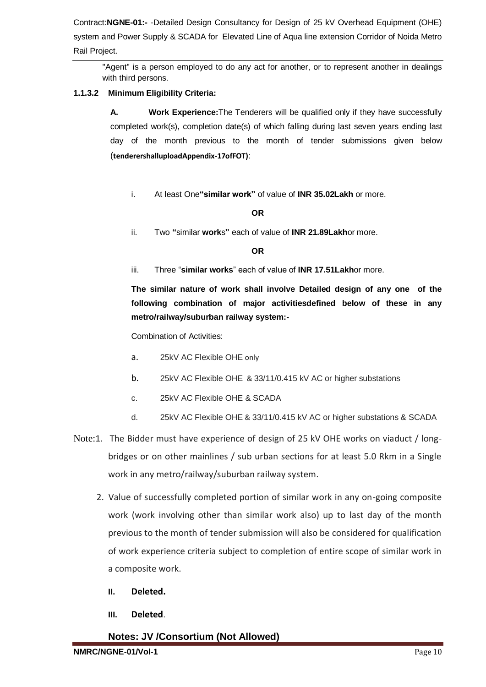"Agent" is a person employed to do any act for another, or to represent another in dealings with third persons.

## **1.1.3.2 Minimum Eligibility Criteria:**

**A. Work Experience:**The Tenderers will be qualified only if they have successfully completed work(s), completion date(s) of which falling during last seven years ending last day of the month previous to the month of tender submissions given below (**tenderershalluploadAppendix-17ofFOT)**:

i. At least One**"similar work"** of value of **INR 35.02Lakh** or more.

## **OR**

ii. Two **"**similar **work**s**"** each of value of **INR 21.89Lakh**or more.

## **OR**

iii. Three "**similar works**" each of value of **INR 17.51Lakh**or more.

**The similar nature of work shall involve Detailed design of any one of the following combination of major activitiesdefined below of these in any metro/railway/suburban railway system:-**

Combination of Activities:

- a. 25kV AC Flexible OHE only
- b. 25kV AC Flexible OHE & 33/11/0.415 kV AC or higher substations
- c. 25kV AC Flexible OHE & SCADA
- d. 25kV AC Flexible OHE & 33/11/0.415 kV AC or higher substations & SCADA
- Note:1. The Bidder must have experience of design of 25 kV OHE works on viaduct / longbridges or on other mainlines / sub urban sections for at least 5.0 Rkm in a Single work in any metro/railway/suburban railway system.
	- 2. Value of successfully completed portion of similar work in any on-going composite work (work involving other than similar work also) up to last day of the month previous to the month of tender submission will also be considered for qualification of work experience criteria subject to completion of entire scope of similar work in a composite work.
		- **II. Deleted.**
		- **III. Deleted**.
		- **Notes: JV /Consortium (Not Allowed)**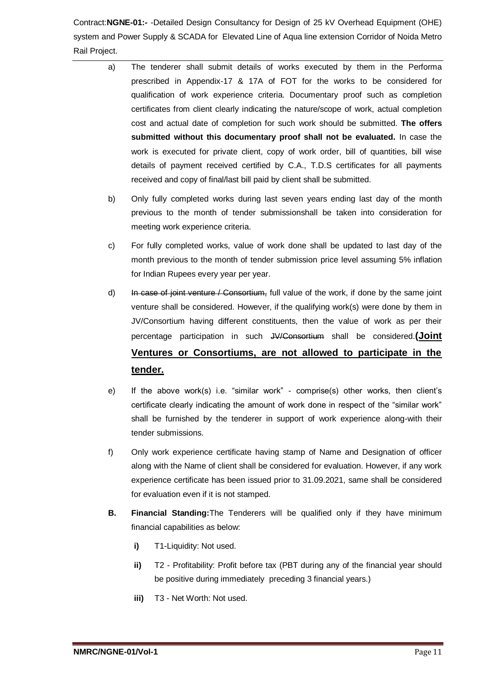- a) The tenderer shall submit details of works executed by them in the Performa prescribed in Appendix-17 & 17A of FOT for the works to be considered for qualification of work experience criteria. Documentary proof such as completion certificates from client clearly indicating the nature/scope of work, actual completion cost and actual date of completion for such work should be submitted. **The offers submitted without this documentary proof shall not be evaluated.** In case the work is executed for private client, copy of work order, bill of quantities, bill wise details of payment received certified by C.A., T.D.S certificates for all payments received and copy of final/last bill paid by client shall be submitted.
	- b) Only fully completed works during last seven years ending last day of the month previous to the month of tender submissionshall be taken into consideration for meeting work experience criteria.
	- c) For fully completed works, value of work done shall be updated to last day of the month previous to the month of tender submission price level assuming 5% inflation for Indian Rupees every year per year.
	- d) In case of joint venture / Consortium, full value of the work, if done by the same joint venture shall be considered. However, if the qualifying work(s) were done by them in JV/Consortium having different constituents, then the value of work as per their percentage participation in such JV/Consortium shall be considered.**(Joint Ventures or Consortiums, are not allowed to participate in the tender.**
	- e) If the above work(s) i.e. "similar work" comprise(s) other works, then client's certificate clearly indicating the amount of work done in respect of the "similar work" shall be furnished by the tenderer in support of work experience along-with their tender submissions.
	- f) Only work experience certificate having stamp of Name and Designation of officer along with the Name of client shall be considered for evaluation. However, if any work experience certificate has been issued prior to 31.09.2021, same shall be considered for evaluation even if it is not stamped.
	- **B. Financial Standing:**The Tenderers will be qualified only if they have minimum financial capabilities as below:
		- **i)** T1-Liquidity: Not used.
		- **ii)** T2 Profitability: Profit before tax (PBT during any of the financial year should be positive during immediately preceding 3 financial years.)
		- **iii)** T3 Net Worth: Not used.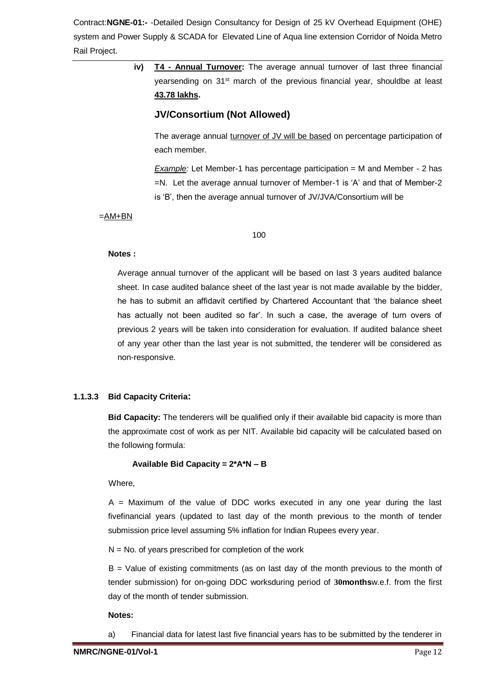> **iv) T4 - Annual Turnover:** The average annual turnover of last three financial yearsending on 31<sup>st</sup> march of the previous financial year, shouldbe at least **43.78 lakhs.**

# **JV/Consortium (Not Allowed)**

The average annual turnover of JV will be based on percentage participation of each member.

*Example:* Let Member-1 has percentage participation = M and Member - 2 has =N. Let the average annual turnover of Member-1 is 'A' and that of Member-2 is 'B', then the average annual turnover of JV/JVA/Consortium will be

 $=AM+BN$ 

100

#### **Notes :**

Average annual turnover of the applicant will be based on last 3 years audited balance sheet. In case audited balance sheet of the last year is not made available by the bidder, he has to submit an affidavit certified by Chartered Accountant that 'the balance sheet has actually not been audited so far'. In such a case, the average of turn overs of previous 2 years will be taken into consideration for evaluation. If audited balance sheet of any year other than the last year is not submitted, the tenderer will be considered as non-responsive.

## **1.1.3.3 Bid Capacity Criteria:**

**Bid Capacity:** The tenderers will be qualified only if their available bid capacity is more than the approximate cost of work as per NIT. Available bid capacity will be calculated based on the following formula:

## **Available Bid Capacity = 2\*A\*N – B**

Where,

 $A =$  Maximum of the value of DDC works executed in any one year during the last fivefinancial years (updated to last day of the month previous to the month of tender submission price level assuming 5% inflation for Indian Rupees every year.

 $N = No$ . of years prescribed for completion of the work

B = Value of existing commitments (as on last day of the month previous to the month of tender submission) for on-going DDC worksduring period of **30months**w.e.f. from the first day of the month of tender submission.

## **Notes:**

a) Financial data for latest last five financial years has to be submitted by the tenderer in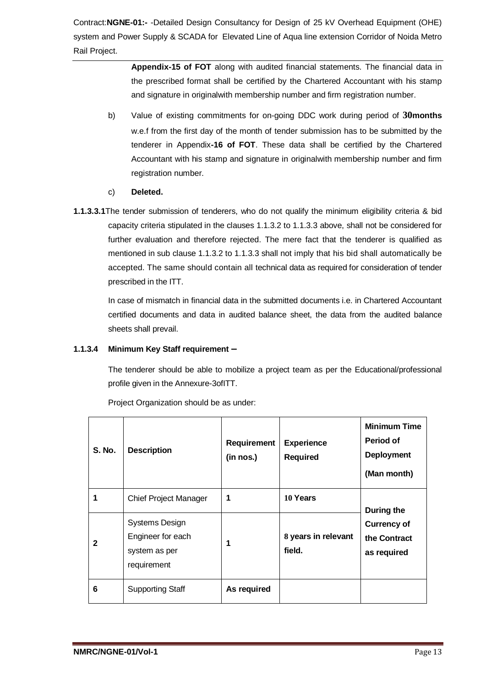> **Appendix-15 of FOT** along with audited financial statements. The financial data in the prescribed format shall be certified by the Chartered Accountant with his stamp and signature in originalwith membership number and firm registration number.

- b) Value of existing commitments for on-going DDC work during period of **30months** w.e.f from the first day of the month of tender submission has to be submitted by the tenderer in Appendix**-16 of FOT**. These data shall be certified by the Chartered Accountant with his stamp and signature in originalwith membership number and firm registration number.
- c) **Deleted.**
- **1.1.3.3.1**The tender submission of tenderers, who do not qualify the minimum eligibility criteria & bid capacity criteria stipulated in the clauses 1.1.3.2 to 1.1.3.3 above, shall not be considered for further evaluation and therefore rejected. The mere fact that the tenderer is qualified as mentioned in sub clause 1.1.3.2 to 1.1.3.3 shall not imply that his bid shall automatically be accepted. The same should contain all technical data as required for consideration of tender prescribed in the ITT.

In case of mismatch in financial data in the submitted documents i.e. in Chartered Accountant certified documents and data in audited balance sheet, the data from the audited balance sheets shall prevail.

## **1.1.3.4 Minimum Key Staff requirement –**

The tenderer should be able to mobilize a project team as per the Educational/professional profile given in the Annexure-3ofITT.

| <b>S. No.</b> | <b>Description</b>                                                         | <b>Requirement</b><br>(in nos.) | <b>Experience</b><br><b>Required</b> | <b>Minimum Time</b><br>Period of<br><b>Deployment</b><br>(Man month) |
|---------------|----------------------------------------------------------------------------|---------------------------------|--------------------------------------|----------------------------------------------------------------------|
| 1             | <b>Chief Project Manager</b>                                               |                                 | 10 Years                             | During the                                                           |
| 2             | <b>Systems Design</b><br>Engineer for each<br>system as per<br>requirement | 1                               | 8 years in relevant<br>field.        | <b>Currency of</b><br>the Contract<br>as required                    |
| 6             | <b>Supporting Staff</b>                                                    | As required                     |                                      |                                                                      |

Project Organization should be as under: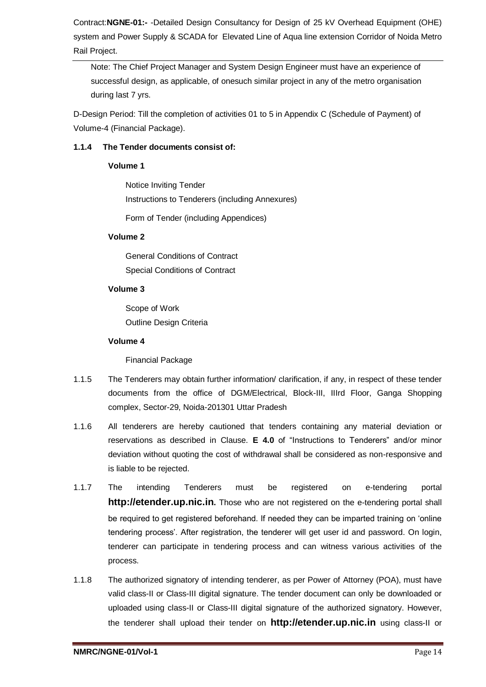Note: The Chief Project Manager and System Design Engineer must have an experience of successful design, as applicable, of onesuch similar project in any of the metro organisation during last 7 yrs.

D-Design Period: Till the completion of activities 01 to 5 in Appendix C (Schedule of Payment) of Volume-4 (Financial Package).

## **1.1.4 The Tender documents consist of:**

## **Volume 1**

Notice Inviting Tender Instructions to Tenderers (including Annexures)

Form of Tender (including Appendices)

## **Volume 2**

General Conditions of Contract Special Conditions of Contract

## **Volume 3**

Scope of Work Outline Design Criteria

## **Volume 4**

Financial Package

- 1.1.5 The Tenderers may obtain further information/ clarification, if any, in respect of these tender documents from the office of DGM/Electrical, Block-III, IIIrd Floor, Ganga Shopping complex, Sector-29, Noida-201301 Uttar Pradesh
- 1.1.6 All tenderers are hereby cautioned that tenders containing any material deviation or reservations as described in Clause. **E 4.0** of "Instructions to Tenderers" and/or minor deviation without quoting the cost of withdrawal shall be considered as non-responsive and is liable to be rejected.
- 1.1.7 The intending Tenderers must be registered on e-tendering portal **http://etender.up.nic.in.** Those who are not registered on the e-tendering portal shall be required to get registered beforehand. If needed they can be imparted training on 'online tendering process'. After registration, the tenderer will get user id and password. On login, tenderer can participate in tendering process and can witness various activities of the process.
- 1.1.8 The authorized signatory of intending tenderer, as per Power of Attorney (POA), must have valid class-II or Class-III digital signature. The tender document can only be downloaded or uploaded using class-II or Class-III digital signature of the authorized signatory. However, the tenderer shall upload their tender on **http://etender.up.nic.in** using class-II or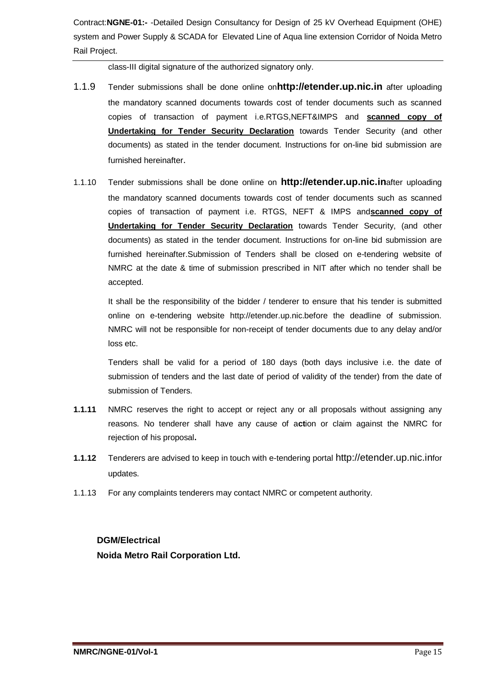class-III digital signature of the authorized signatory only.

- 1.1.9 Tender submissions shall be done online on**http://etender.up.nic.in** after uploading the mandatory scanned documents towards cost of tender documents such as scanned copies of transaction of payment i.e.RTGS,NEFT&IMPS and **scanned copy of Undertaking for Tender Security Declaration** towards Tender Security (and other documents) as stated in the tender document. Instructions for on-line bid submission are furnished hereinafter.
- 1.1.10 Tender submissions shall be done online on **http://etender.up.nic.in**after uploading the mandatory scanned documents towards cost of tender documents such as scanned copies of transaction of payment i.e. RTGS, NEFT & IMPS and**scanned copy of Undertaking for Tender Security Declaration** towards Tender Security, (and other documents) as stated in the tender document. Instructions for on-line bid submission are furnished hereinafter.Submission of Tenders shall be closed on e-tendering website of NMRC at the date & time of submission prescribed in NIT after which no tender shall be accepted.

It shall be the responsibility of the bidder / tenderer to ensure that his tender is submitted online on e-tendering website http://etender.up.nic.before the deadline of submission. NMRC will not be responsible for non-receipt of tender documents due to any delay and/or loss etc.

Tenders shall be valid for a period of 180 days (both days inclusive i.e. the date of submission of tenders and the last date of period of validity of the tender) from the date of submission of Tenders.

- **1.1.11** NMRC reserves the right to accept or reject any or all proposals without assigning any reasons. No tenderer shall have any cause of a**ct**ion or claim against the NMRC for rejection of his proposal**.**
- **1.1.12** Tenderers are advised to keep in touch with e-tendering portal http://etender.up.nic.infor updates.
- 1.1.13 For any complaints tenderers may contact NMRC or competent authority.

## **DGM/Electrical**

**Noida Metro Rail Corporation Ltd.**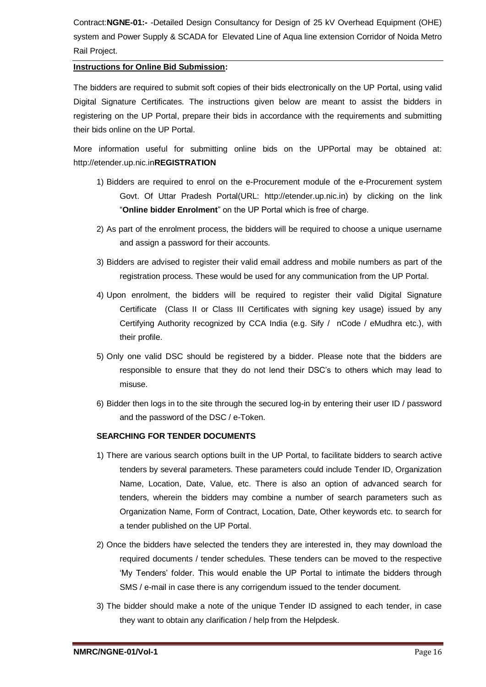#### **Instructions for Online Bid Submission:**

The bidders are required to submit soft copies of their bids electronically on the UP Portal, using valid Digital Signature Certificates. The instructions given below are meant to assist the bidders in registering on the UP Portal, prepare their bids in accordance with the requirements and submitting their bids online on the UP Portal.

More information useful for submitting online bids on the UPPortal may be obtained at: http://etender.up.nic.in**REGISTRATION**

- 1) Bidders are required to enrol on the e-Procurement module of the e-Procurement system Govt. Of Uttar Pradesh Portal(URL: http://etender.up.nic.in) by clicking on the link "**Online bidder Enrolment**" on the UP Portal which is free of charge.
- 2) As part of the enrolment process, the bidders will be required to choose a unique username and assign a password for their accounts.
- 3) Bidders are advised to register their valid email address and mobile numbers as part of the registration process. These would be used for any communication from the UP Portal.
- 4) Upon enrolment, the bidders will be required to register their valid Digital Signature Certificate (Class II or Class III Certificates with signing key usage) issued by any Certifying Authority recognized by CCA India (e.g. Sify / nCode / eMudhra etc.), with their profile.
- 5) Only one valid DSC should be registered by a bidder. Please note that the bidders are responsible to ensure that they do not lend their DSC's to others which may lead to misuse.
- 6) Bidder then logs in to the site through the secured log-in by entering their user ID / password and the password of the DSC / e-Token.

## **SEARCHING FOR TENDER DOCUMENTS**

- 1) There are various search options built in the UP Portal, to facilitate bidders to search active tenders by several parameters. These parameters could include Tender ID, Organization Name, Location, Date, Value, etc. There is also an option of advanced search for tenders, wherein the bidders may combine a number of search parameters such as Organization Name, Form of Contract, Location, Date, Other keywords etc. to search for a tender published on the UP Portal.
- 2) Once the bidders have selected the tenders they are interested in, they may download the required documents / tender schedules. These tenders can be moved to the respective 'My Tenders' folder. This would enable the UP Portal to intimate the bidders through SMS / e-mail in case there is any corrigendum issued to the tender document.
- 3) The bidder should make a note of the unique Tender ID assigned to each tender, in case they want to obtain any clarification / help from the Helpdesk.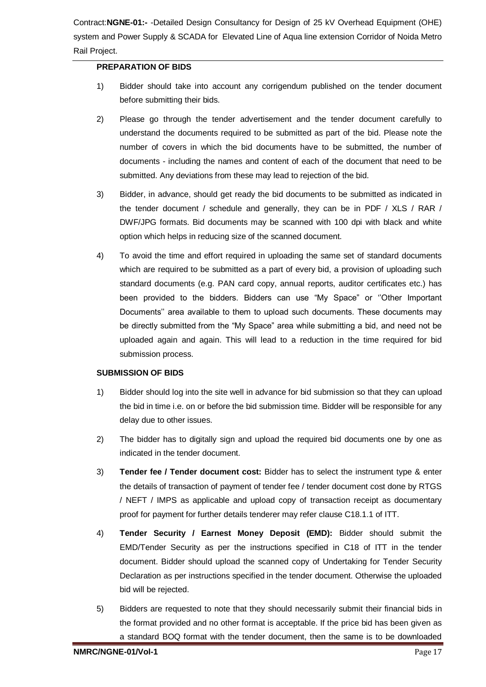#### **PREPARATION OF BIDS**

- 1) Bidder should take into account any corrigendum published on the tender document before submitting their bids.
- 2) Please go through the tender advertisement and the tender document carefully to understand the documents required to be submitted as part of the bid. Please note the number of covers in which the bid documents have to be submitted, the number of documents - including the names and content of each of the document that need to be submitted. Any deviations from these may lead to rejection of the bid.
- 3) Bidder, in advance, should get ready the bid documents to be submitted as indicated in the tender document / schedule and generally, they can be in PDF / XLS / RAR / DWF/JPG formats. Bid documents may be scanned with 100 dpi with black and white option which helps in reducing size of the scanned document.
- 4) To avoid the time and effort required in uploading the same set of standard documents which are required to be submitted as a part of every bid, a provision of uploading such standard documents (e.g. PAN card copy, annual reports, auditor certificates etc.) has been provided to the bidders. Bidders can use "My Space" or ''Other Important Documents'' area available to them to upload such documents. These documents may be directly submitted from the "My Space" area while submitting a bid, and need not be uploaded again and again. This will lead to a reduction in the time required for bid submission process.

#### **SUBMISSION OF BIDS**

- 1) Bidder should log into the site well in advance for bid submission so that they can upload the bid in time i.e. on or before the bid submission time. Bidder will be responsible for any delay due to other issues.
- 2) The bidder has to digitally sign and upload the required bid documents one by one as indicated in the tender document.
- 3) **Tender fee / Tender document cost:** Bidder has to select the instrument type & enter the details of transaction of payment of tender fee / tender document cost done by RTGS / NEFT / IMPS as applicable and upload copy of transaction receipt as documentary proof for payment for further details tenderer may refer clause C18.1.1 of ITT.
- 4) **Tender Security / Earnest Money Deposit (EMD):** Bidder should submit the EMD/Tender Security as per the instructions specified in C18 of ITT in the tender document. Bidder should upload the scanned copy of Undertaking for Tender Security Declaration as per instructions specified in the tender document. Otherwise the uploaded bid will be rejected.
- 5) Bidders are requested to note that they should necessarily submit their financial bids in the format provided and no other format is acceptable. If the price bid has been given as a standard BOQ format with the tender document, then the same is to be downloaded